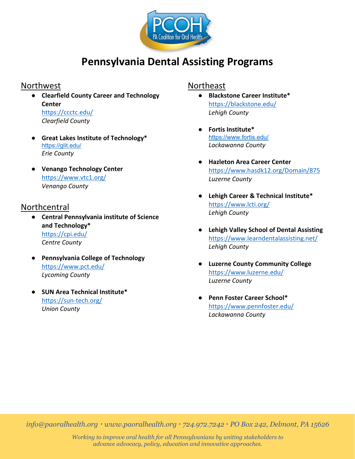

# **Pennsylvania Dental Assisting Programs**

#### Northwest

● **Clearfield County Career and Technology Center** <https://ccctc.edu/>

*Clearfield County*

- **Great Lakes Institute of Technology\*** <https://glit.edu/> *Erie County*
- **Venango Technology Center** <https://www.vtc1.org/> *Venango County*

#### Northcentral

- **Central Pennsylvania institute of Science and Technology\*** <https://cpi.edu/> *Centre County*
- **Pennsylvania College of Technology** <https://www.pct.edu/> *Lycoming County*
- **SUN Area Technical Institute\*** <https://sun-tech.org/> *Union County*

#### Northeast

- **Blackstone Career Institute\*** <https://blackstone.edu/> *Lehigh County*
- **Fortis Institute\***  <https://www.fortis.edu/> *Lackawanna County*
- **Hazleton Area Career Center** <https://www.hasdk12.org/Domain/875> *Luzerne County*
- **Lehigh Career & Technical Institute\*** <https://www.lcti.org/> *Lehigh County*
- **Lehigh Valley School of Dental Assisting** <https://www.learndentalassisting.net/> *Lehigh County*
- **Luzerne County Community College** <https://www.luzerne.edu/> *Luzerne County*
- **Penn Foster Career School\*** <https://www.pennfoster.edu/> *Lackawanna County*

*info@paoralhealth.org ∙ www.paoralhealth.org ∙ 724.972.7242 ∙ PO Box 242, Delmont, PA 15626*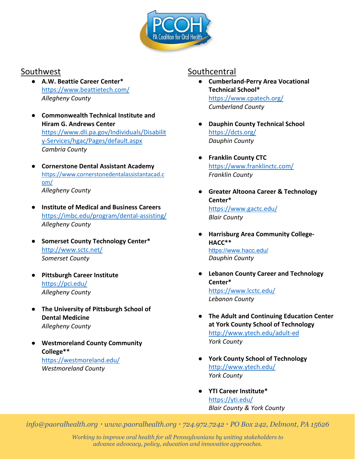

## Southwest

- **A.W. Beattie Career Center\*** <https://www.beattietech.com/> *Allegheny County*
- **Commonwealth Technical Institute and Hiram G. Andrews Center** [https://www.dli.pa.gov/Individuals/Disabilit](https://www.dli.pa.gov/Individuals/Disability-Services/hgac/Pages/default.aspx) [y-Services/hgac/Pages/default.aspx](https://www.dli.pa.gov/Individuals/Disability-Services/hgac/Pages/default.aspx) *Cambria County*
- **Cornerstone Dental Assistant Academy** [https://www.cornerstonedentalassistantacad.c](https://www.cornerstonedentalassistantacad.com/) [om/](https://www.cornerstonedentalassistantacad.com/) *Allegheny County*
- **Institute of Medical and Business Careers** <https://imbc.edu/program/dental-assisting/> *Allegheny County*
- **Somerset County Technology Center\*** <http://www.sctc.net/> *Somerset County*
- **Pittsburgh Career Institute** <https://pci.edu/> *Allegheny County*
- **The University of Pittsburgh School of Dental Medicine** *Allegheny County*
- **Westmoreland County Community College\*\*** <https://westmoreland.edu/> *Westmoreland County*

## **Southcentral**

- **Cumberland-Perry Area Vocational Technical School\*** <https://www.cpatech.org/> *Cumberland County*
- **Dauphin County Technical School** <https://dcts.org/> *Dauphin County*
- **Franklin County CTC** <https://www.franklinctc.com/> *Franklin County*
- **Greater Altoona Career & Technology Center\*** <https://www.gactc.edu/> *Blair County*
- **Harrisburg Area Community College-HACC\*\*** <https://www.hacc.edu/> *Dauphin County*
- **Lebanon County Career and Technology Center\*** <https://www.lcctc.edu/> *Lebanon County*
- **The Adult and Continuing Education Center at York County School of Technology** <http://www.ytech.edu/adult-ed> *York County*
- **York County School of Technology** <http://www.ytech.edu/> *York County*
- **YTI Career Institute\*** <https://yti.edu/> *Blair County & York County*

*info@paoralhealth.org ∙ www.paoralhealth.org ∙ 724.972.7242 ∙ PO Box 242, Delmont, PA 15626*

*Working to improve oral health for all Pennsylvanians by uniting stakeholders to advance advocacy, policy, education and innovative approaches.*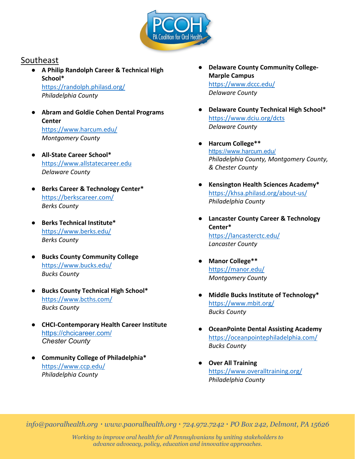

## Southeast

- **A Philip Randolph Career & Technical High School\*** <https://randolph.philasd.org/> *Philadelphia County*
- **Abram and Goldie Cohen Dental Programs Center** <https://www.harcum.edu/> *Montgomery County*
- **All-State Career School\*** [https://www.allstatecareer.edu](https://www.allstatecareer.edu/) *Delaware County*
- **Berks Career & Technology Center\*** <https://berkscareer.com/> *Berks County*
- **Berks Technical Institute\*** <https://www.berks.edu/> *Berks County*
- **Bucks County Community College** <https://www.bucks.edu/> *Bucks County*
- **Bucks County Technical High School\*** <https://www.bcths.com/> *Bucks County*
- **CHCI-Contemporary Health Career Institute** <https://chcicareer.com/> *Chester County*
- **Community College of Philadelphia\*** <https://www.ccp.edu/> *Philadelphia County*
- **Delaware County Community College-Marple Campus** <https://www.dccc.edu/> *Delaware County*
- **Delaware County Technical High School\*** <https://www.dciu.org/dcts> *Delaware County*
- **Harcum College\*\***  <https://www.harcum.edu/> *Philadelphia County, Montgomery County, & Chester County*
- **Kensington Health Sciences Academy\*** <https://khsa.philasd.org/about-us/> *Philadelphia County*
- **Lancaster County Career & Technology Center\*** <https://lancasterctc.edu/> *Lancaster County*
- **Manor College\*\*** <https://manor.edu/> *Montgomery County*
- **Middle Bucks Institute of Technology\*** <https://www.mbit.org/> *Bucks County*
- **OceanPointe Dental Assisting Academy** <https://oceanpointephiladelphia.com/> *Bucks County*
- **Over All Training** <https://www.overalltraining.org/> *Philadelphia County*

*info@paoralhealth.org ∙ www.paoralhealth.org ∙ 724.972.7242 ∙ PO Box 242, Delmont, PA 15626*

*Working to improve oral health for all Pennsylvanians by uniting stakeholders to advance advocacy, policy, education and innovative approaches.*